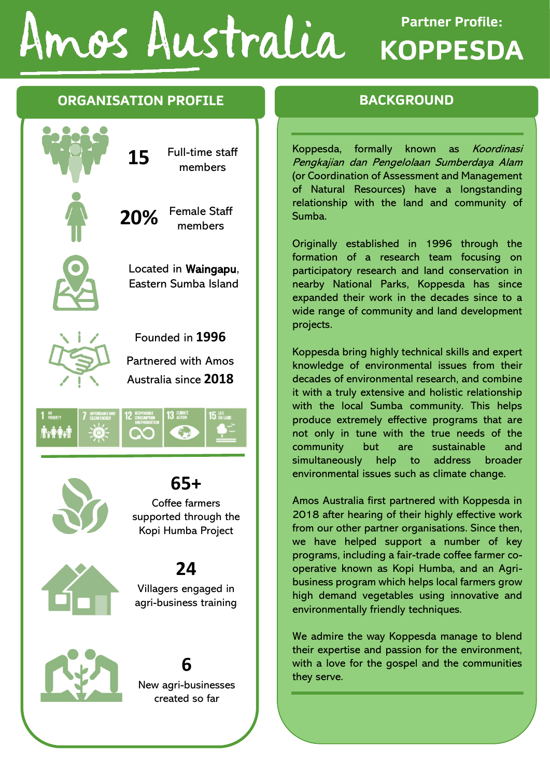# Amos Australia

# **Partner Profile: KOPPESDA**

### **ORGANISATION PROFILE**



Kopi Humba Project

# **24**





## **6**

New agri-businesses created so far

### **BACKGROUND**

Koppesda, formally known as Koordinasi Pengkajian dan Pengelolaan Sumberdaya Alam (or Coordination of Assessment and Management of Natural Resources) have a longstanding relationship with the land and community of Sumba.

Originally established in 1996 through the formation of a research team focusing on participatory research and land conservation in nearby National Parks, Koppesda has since expanded their work in the decades since to a wide range of community and land development projects.

Koppesda bring highly technical skills and expert knowledge of environmental issues from their decades of environmental research, and combine it with a truly extensive and holistic relationship with the local Sumba community. This helps produce extremely effective programs that are not only in tune with the true needs of the community but are sustainable and simultaneously help to address broader environmental issues such as climate change.

Amos Australia first partnered with Koppesda in 2018 after hearing of their highly effective work from our other partner organisations. Since then, we have helped support a number of key programs, including a fair-trade coffee farmer cooperative known as Kopi Humba, and an Agribusiness program which helps local farmers grow high demand vegetables using innovative and environmentally friendly techniques.

We admire the way Koppesda manage to blend their expertise and passion for the environment, with a love for the gospel and the communities they serve.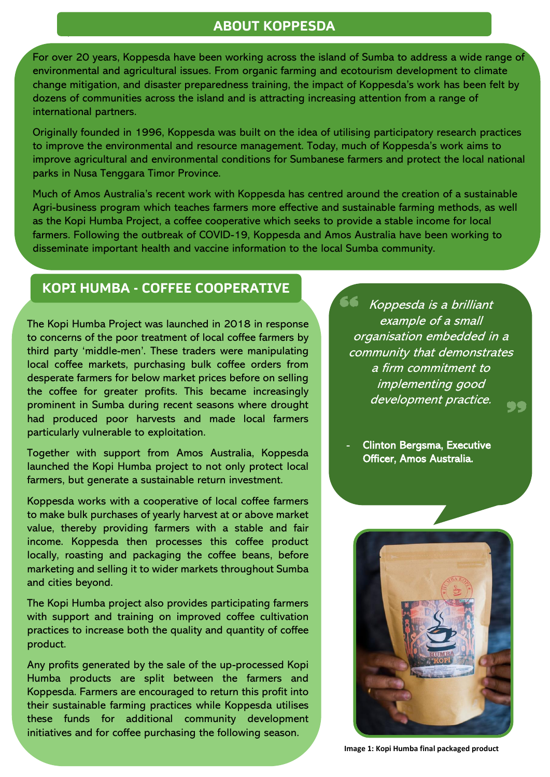#### **ABOUT KOPPESDA**

For over 20 years, Koppesda have been working across the island of Sumba to address a wide range of environmental and agricultural issues. From organic farming and ecotourism development to climate change mitigation, and disaster preparedness training, the impact of Koppesda's work has been felt by dozens of communities across the island and is attracting increasing attention from a range of international partners.

Originally founded in 1996, Koppesda was built on the idea of utilising participatory research practices to improve the environmental and resource management. Today, much of Koppesda's work aims to improve agricultural and environmental conditions for Sumbanese farmers and protect the local national parks in Nusa Tenggara Timor Province.

Much of Amos Australia's recent work with Koppesda has centred around the creation of a sustainable Agri-business program which teaches farmers more effective and sustainable farming methods, as well as the Kopi Humba Project, a coffee cooperative which seeks to provide a stable income for local farmers. Following the outbreak of COVID-19, Koppesda and Amos Australia have been working to disseminate important health and vaccine information to the local Sumba community.

#### **KOPI HUMBA - COFFEE COOPERATIVE**

`

The Kopi Humba Project was launched in 2018 in response to concerns of the poor treatment of local coffee farmers by third party 'middle-men'. These traders were manipulating local coffee markets, purchasing bulk coffee orders from desperate farmers for below market prices before on selling the coffee for greater profits. This became increasingly prominent in Sumba during recent seasons where drought had produced poor harvests and made local farmers particularly vulnerable to exploitation.

Together with support from Amos Australia, Koppesda launched the Kopi Humba project to not only protect local farmers, but generate a sustainable return investment.

Koppesda works with a cooperative of local coffee farmers to make bulk purchases of yearly harvest at or above market value, thereby providing farmers with a stable and fair income. Koppesda then processes this coffee product locally, roasting and packaging the coffee beans, before marketing and selling it to wider markets throughout Sumba and cities beyond.

The Kopi Humba project also provides participating farmers with support and training on improved coffee cultivation practices to increase both the quality and quantity of coffee product.

Any profits generated by the sale of the up-processed Kopi Humba products are split between the farmers and Koppesda. Farmers are encouraged to return this profit into their sustainable farming practices while Koppesda utilises these funds for additional community development initiatives and for coffee purchasing the following season.

Koppesda is a brilliant example of a small organisation embedded in a community that demonstrates a firm commitment to implementing good development practice.

Clinton Bergsma, Executive Officer, Amos Australia.



**Image 1: Kopi Humba final packaged product**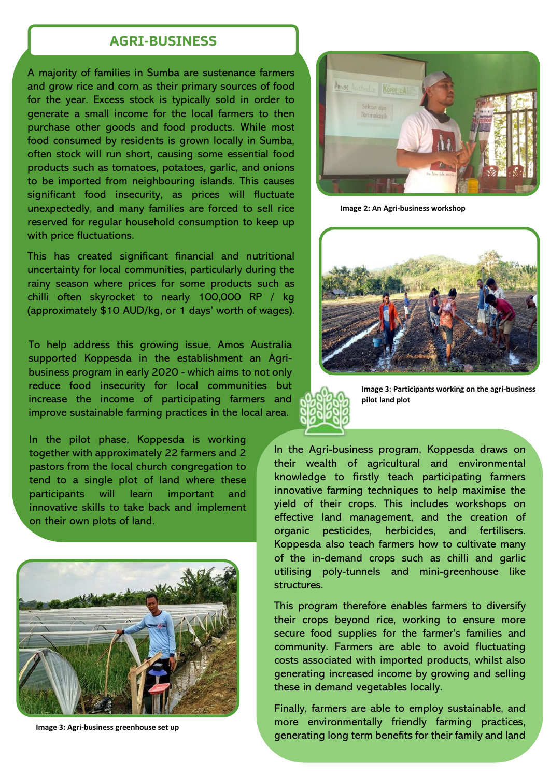#### ` **AGRI-BUSINESS**

A majority of families in Sumba are sustenance farmers and grow rice and corn as their primary sources of food for the year. Excess stock is typically sold in order to generate a small income for the local farmers to then purchase other goods and food products. While most food consumed by residents is grown locally in Sumba, often stock will run short, causing some essential food products such as tomatoes, potatoes, garlic, and onions to be imported from neighbouring islands. This causes significant food insecurity, as prices will fluctuate unexpectedly, and many families are forced to sell rice reserved for regular household consumption to keep up with price fluctuations.

This has created significant financial and nutritional uncertainty for local communities, particularly during the rainy season where prices for some products such as chilli often skyrocket to nearly 100,000 RP / kg (approximately \$10 AUD/kg, or 1 days' worth of wages).

To help address this growing issue, Amos Australia supported Koppesda in the establishment an Agribusiness program in early 2020 - which aims to not only reduce food insecurity for local communities but increase the income of participating farmers and improve sustainable farming practices in the local area.

In the pilot phase, Koppesda is working together with approximately 22 farmers and 2 pastors from the local church congregation to tend to a single plot of land where these participants will learn important and innovative skills to take back and implement on their own plots of land.



**Image 3: Agri-business greenhouse set up**



**Image 2: An Agri-business workshop**

![](_page_2_Picture_9.jpeg)

![](_page_2_Picture_10.jpeg)

**Image 3: Participants working on the agri-business pilot land plot**

In the Agri-business program, Koppesda draws on their wealth of agricultural and environmental knowledge to firstly teach participating farmers innovative farming techniques to help maximise the yield of their crops. This includes workshops on effective land management, and the creation of organic pesticides, herbicides, and fertilisers. Koppesda also teach farmers how to cultivate many of the in-demand crops such as chilli and garlic utilising poly-tunnels and mini-greenhouse like structures.

This program therefore enables farmers to diversify their crops beyond rice, working to ensure more secure food supplies for the farmer's families and community. Farmers are able to avoid fluctuating costs associated with imported products, whilst also generating increased income by growing and selling these in demand vegetables locally.

Finally, farmers are able to employ sustainable, and more environmentally friendly farming practices, generating long term benefits for their family and land